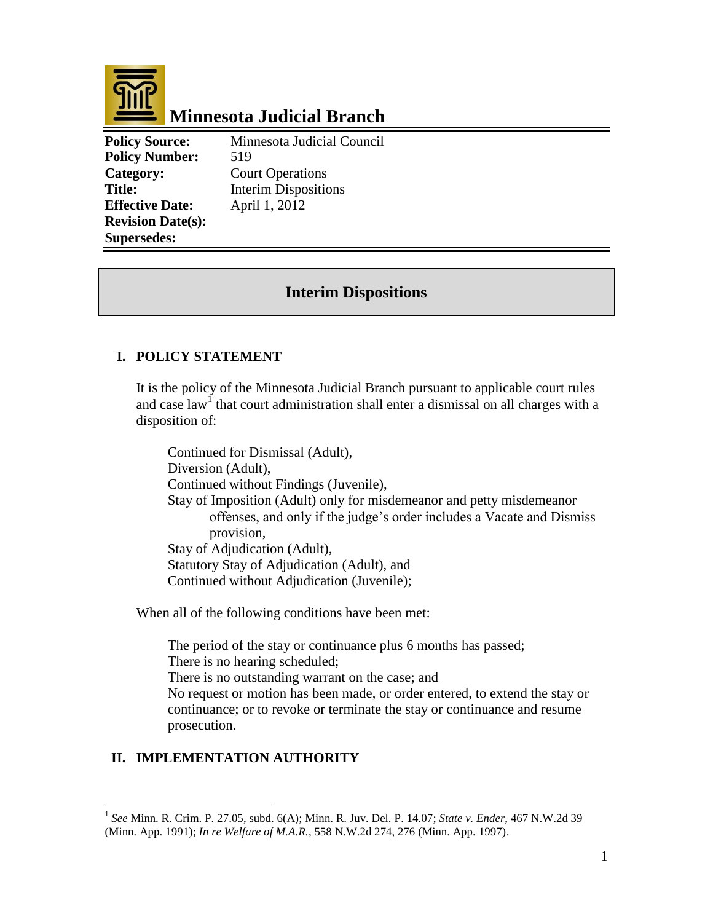

# **Minnesota Judicial Branch**

**Policy Number:** 519 **Category:** Court Operations **Effective Date:** April 1, 2012 **Revision Date(s): Supersedes:** 

**Policy Source:** Minnesota Judicial Council **Title:** Interim Dispositions

## **Interim Dispositions**

### **I. POLICY STATEMENT**

It is the policy of the Minnesota Judicial Branch pursuant to applicable court rules and case law<sup>1</sup> that court administration shall enter a dismissal on all charges with a disposition of:

Continued for Dismissal (Adult), Diversion (Adult), Continued without Findings (Juvenile), Stay of Imposition (Adult) only for misdemeanor and petty misdemeanor offenses, and only if the judge's order includes a Vacate and Dismiss provision, Stay of Adjudication (Adult), Statutory Stay of Adjudication (Adult), and Continued without Adjudication (Juvenile);

When all of the following conditions have been met:

The period of the stay or continuance plus 6 months has passed; There is no hearing scheduled; There is no outstanding warrant on the case; and No request or motion has been made, or order entered, to extend the stay or continuance; or to revoke or terminate the stay or continuance and resume prosecution.

#### **II. IMPLEMENTATION AUTHORITY**

 $\overline{a}$ 

<sup>1</sup> *See* Minn. R. Crim. P. 27.05, subd. 6(A); Minn. R. Juv. Del. P. 14.07; *State v. Ender*, 467 N.W.2d 39 (Minn. App. 1991); *In re Welfare of M.A.R.*, 558 N.W.2d 274, 276 (Minn. App. 1997).